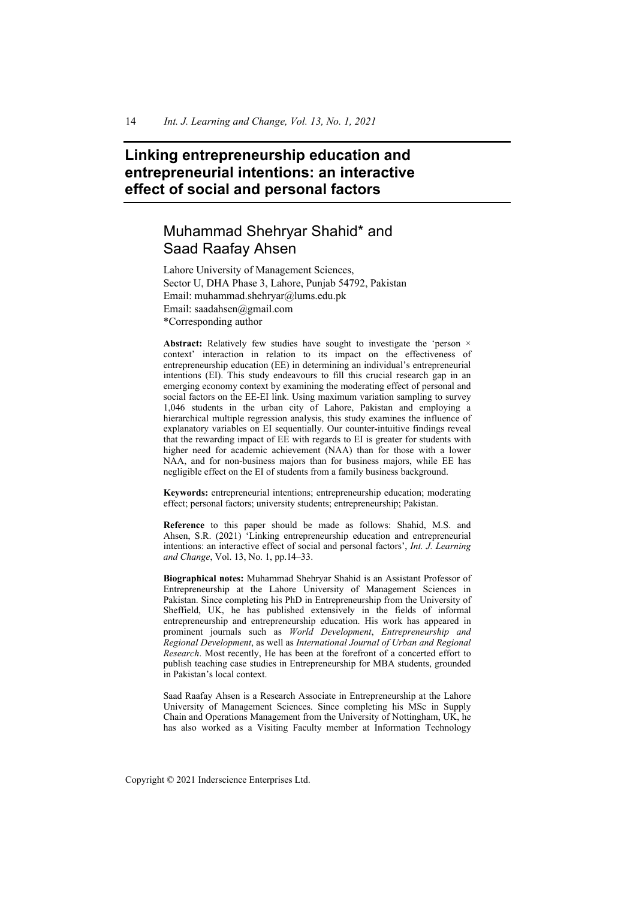# **Linking entrepreneurship education and entrepreneurial intentions: an interactive effect of social and personal factors**

# Muhammad Shehryar Shahid\* and Saad Raafay Ahsen

Lahore University of Management Sciences, Sector U, DHA Phase 3, Lahore, Punjab 54792, Pakistan Email: muhammad.shehryar@lums.edu.pk Email: saadahsen@gmail.com \*Corresponding author

Abstract: Relatively few studies have sought to investigate the 'person  $\times$ context' interaction in relation to its impact on the effectiveness of entrepreneurship education (EE) in determining an individual's entrepreneurial intentions (EI). This study endeavours to fill this crucial research gap in an emerging economy context by examining the moderating effect of personal and social factors on the EE-EI link. Using maximum variation sampling to survey 1,046 students in the urban city of Lahore, Pakistan and employing a hierarchical multiple regression analysis, this study examines the influence of explanatory variables on EI sequentially. Our counter-intuitive findings reveal that the rewarding impact of EE with regards to EI is greater for students with higher need for academic achievement (NAA) than for those with a lower NAA, and for non-business majors than for business majors, while EE has negligible effect on the EI of students from a family business background.

**Keywords:** entrepreneurial intentions; entrepreneurship education; moderating effect; personal factors; university students; entrepreneurship; Pakistan.

**Reference** to this paper should be made as follows: Shahid, M.S. and Ahsen, S.R. (2021) 'Linking entrepreneurship education and entrepreneurial intentions: an interactive effect of social and personal factors', *Int. J. Learning and Change*, Vol. 13, No. 1, pp.14–33.

**Biographical notes:** Muhammad Shehryar Shahid is an Assistant Professor of Entrepreneurship at the Lahore University of Management Sciences in Pakistan. Since completing his PhD in Entrepreneurship from the University of Sheffield, UK, he has published extensively in the fields of informal entrepreneurship and entrepreneurship education. His work has appeared in prominent journals such as *World Development*, *Entrepreneurship and Regional Development*, as well as *International Journal of Urban and Regional Research*. Most recently, He has been at the forefront of a concerted effort to publish teaching case studies in Entrepreneurship for MBA students, grounded in Pakistan's local context.

Saad Raafay Ahsen is a Research Associate in Entrepreneurship at the Lahore University of Management Sciences. Since completing his MSc in Supply Chain and Operations Management from the University of Nottingham, UK, he has also worked as a Visiting Faculty member at Information Technology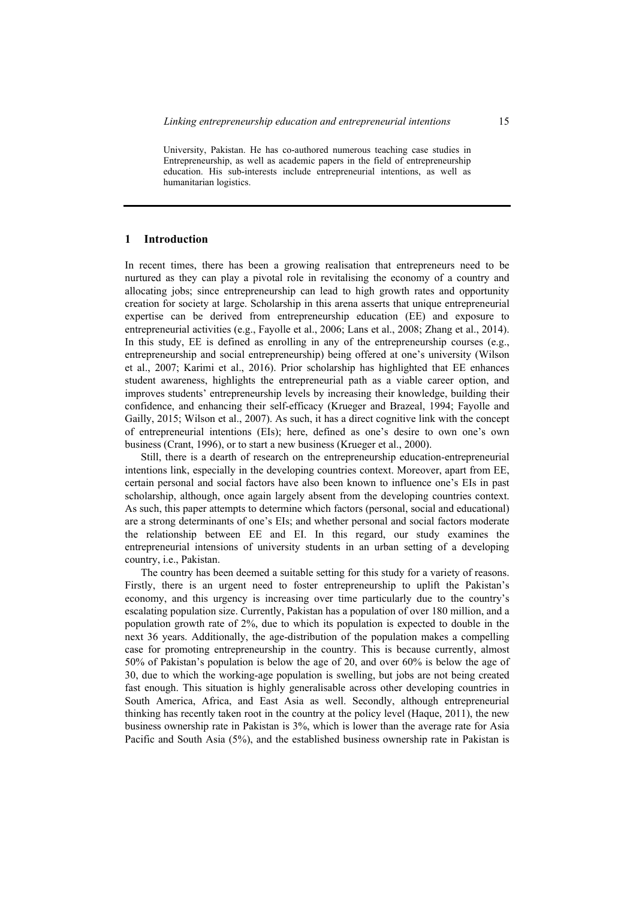University, Pakistan. He has co-authored numerous teaching case studies in Entrepreneurship, as well as academic papers in the field of entrepreneurship education. His sub-interests include entrepreneurial intentions, as well as humanitarian logistics.

#### **1 Introduction**

In recent times, there has been a growing realisation that entrepreneurs need to be nurtured as they can play a pivotal role in revitalising the economy of a country and allocating jobs; since entrepreneurship can lead to high growth rates and opportunity creation for society at large. Scholarship in this arena asserts that unique entrepreneurial expertise can be derived from entrepreneurship education (EE) and exposure to entrepreneurial activities (e.g., Fayolle et al., 2006; Lans et al., 2008; Zhang et al., 2014). In this study, EE is defined as enrolling in any of the entrepreneurship courses (e.g., entrepreneurship and social entrepreneurship) being offered at one's university (Wilson et al., 2007; Karimi et al., 2016). Prior scholarship has highlighted that EE enhances student awareness, highlights the entrepreneurial path as a viable career option, and improves students' entrepreneurship levels by increasing their knowledge, building their confidence, and enhancing their self-efficacy (Krueger and Brazeal, 1994; Fayolle and Gailly, 2015; Wilson et al., 2007). As such, it has a direct cognitive link with the concept of entrepreneurial intentions (EIs); here, defined as one's desire to own one's own business (Crant, 1996), or to start a new business (Krueger et al., 2000).

Still, there is a dearth of research on the entrepreneurship education-entrepreneurial intentions link, especially in the developing countries context. Moreover, apart from EE, certain personal and social factors have also been known to influence one's EIs in past scholarship, although, once again largely absent from the developing countries context. As such, this paper attempts to determine which factors (personal, social and educational) are a strong determinants of one's EIs; and whether personal and social factors moderate the relationship between EE and EI. In this regard, our study examines the entrepreneurial intensions of university students in an urban setting of a developing country, i.e., Pakistan.

The country has been deemed a suitable setting for this study for a variety of reasons. Firstly, there is an urgent need to foster entrepreneurship to uplift the Pakistan's economy, and this urgency is increasing over time particularly due to the country's escalating population size. Currently, Pakistan has a population of over 180 million, and a population growth rate of 2%, due to which its population is expected to double in the next 36 years. Additionally, the age-distribution of the population makes a compelling case for promoting entrepreneurship in the country. This is because currently, almost 50% of Pakistan's population is below the age of 20, and over 60% is below the age of 30, due to which the working-age population is swelling, but jobs are not being created fast enough. This situation is highly generalisable across other developing countries in South America, Africa, and East Asia as well. Secondly, although entrepreneurial thinking has recently taken root in the country at the policy level (Haque, 2011), the new business ownership rate in Pakistan is 3%, which is lower than the average rate for Asia Pacific and South Asia (5%), and the established business ownership rate in Pakistan is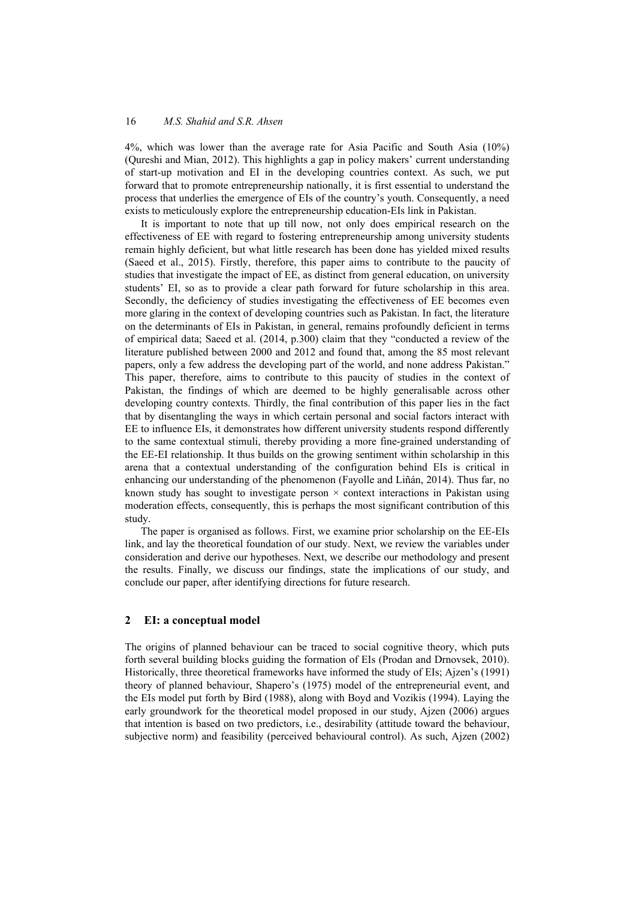4%, which was lower than the average rate for Asia Pacific and South Asia (10%) (Qureshi and Mian, 2012). This highlights a gap in policy makers' current understanding of start-up motivation and EI in the developing countries context. As such, we put forward that to promote entrepreneurship nationally, it is first essential to understand the process that underlies the emergence of EIs of the country's youth. Consequently, a need exists to meticulously explore the entrepreneurship education-EIs link in Pakistan.

It is important to note that up till now, not only does empirical research on the effectiveness of EE with regard to fostering entrepreneurship among university students remain highly deficient, but what little research has been done has yielded mixed results (Saeed et al., 2015). Firstly, therefore, this paper aims to contribute to the paucity of studies that investigate the impact of EE, as distinct from general education, on university students' EI, so as to provide a clear path forward for future scholarship in this area. Secondly, the deficiency of studies investigating the effectiveness of EE becomes even more glaring in the context of developing countries such as Pakistan. In fact, the literature on the determinants of EIs in Pakistan, in general, remains profoundly deficient in terms of empirical data; Saeed et al. (2014, p.300) claim that they "conducted a review of the literature published between 2000 and 2012 and found that, among the 85 most relevant papers, only a few address the developing part of the world, and none address Pakistan." This paper, therefore, aims to contribute to this paucity of studies in the context of Pakistan, the findings of which are deemed to be highly generalisable across other developing country contexts. Thirdly, the final contribution of this paper lies in the fact that by disentangling the ways in which certain personal and social factors interact with EE to influence EIs, it demonstrates how different university students respond differently to the same contextual stimuli, thereby providing a more fine-grained understanding of the EE-EI relationship. It thus builds on the growing sentiment within scholarship in this arena that a contextual understanding of the configuration behind EIs is critical in enhancing our understanding of the phenomenon (Fayolle and Liñán, 2014). Thus far, no known study has sought to investigate person  $\times$  context interactions in Pakistan using moderation effects, consequently, this is perhaps the most significant contribution of this study.

The paper is organised as follows. First, we examine prior scholarship on the EE-EIs link, and lay the theoretical foundation of our study. Next, we review the variables under consideration and derive our hypotheses. Next, we describe our methodology and present the results. Finally, we discuss our findings, state the implications of our study, and conclude our paper, after identifying directions for future research.

#### **2 EI: a conceptual model**

The origins of planned behaviour can be traced to social cognitive theory, which puts forth several building blocks guiding the formation of EIs (Prodan and Drnovsek, 2010). Historically, three theoretical frameworks have informed the study of EIs; Ajzen's (1991) theory of planned behaviour, Shapero's (1975) model of the entrepreneurial event, and the EIs model put forth by Bird (1988), along with Boyd and Vozikis (1994). Laying the early groundwork for the theoretical model proposed in our study, Ajzen (2006) argues that intention is based on two predictors, i.e., desirability (attitude toward the behaviour, subjective norm) and feasibility (perceived behavioural control). As such, Ajzen (2002)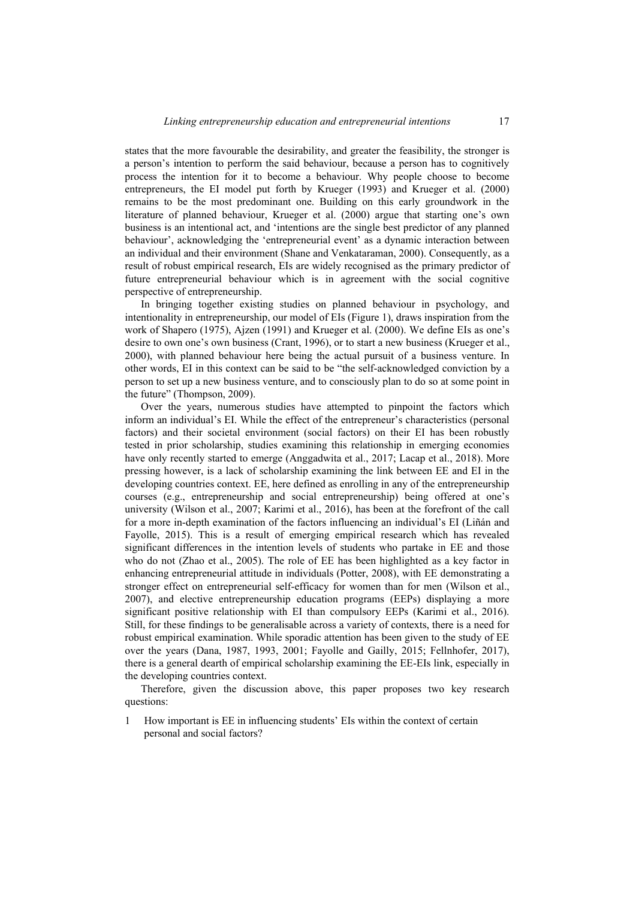states that the more favourable the desirability, and greater the feasibility, the stronger is a person's intention to perform the said behaviour, because a person has to cognitively process the intention for it to become a behaviour. Why people choose to become entrepreneurs, the EI model put forth by Krueger (1993) and Krueger et al. (2000) remains to be the most predominant one. Building on this early groundwork in the literature of planned behaviour, Krueger et al. (2000) argue that starting one's own business is an intentional act, and 'intentions are the single best predictor of any planned behaviour', acknowledging the 'entrepreneurial event' as a dynamic interaction between an individual and their environment (Shane and Venkataraman, 2000). Consequently, as a result of robust empirical research, EIs are widely recognised as the primary predictor of future entrepreneurial behaviour which is in agreement with the social cognitive perspective of entrepreneurship.

In bringing together existing studies on planned behaviour in psychology, and intentionality in entrepreneurship, our model of EIs (Figure 1), draws inspiration from the work of Shapero (1975), Ajzen (1991) and Krueger et al. (2000). We define EIs as one's desire to own one's own business (Crant, 1996), or to start a new business (Krueger et al., 2000), with planned behaviour here being the actual pursuit of a business venture. In other words, EI in this context can be said to be "the self-acknowledged conviction by a person to set up a new business venture, and to consciously plan to do so at some point in the future" (Thompson, 2009).

Over the years, numerous studies have attempted to pinpoint the factors which inform an individual's EI. While the effect of the entrepreneur's characteristics (personal factors) and their societal environment (social factors) on their EI has been robustly tested in prior scholarship, studies examining this relationship in emerging economies have only recently started to emerge (Anggadwita et al., 2017; Lacap et al., 2018). More pressing however, is a lack of scholarship examining the link between EE and EI in the developing countries context. EE, here defined as enrolling in any of the entrepreneurship courses (e.g., entrepreneurship and social entrepreneurship) being offered at one's university (Wilson et al., 2007; Karimi et al., 2016), has been at the forefront of the call for a more in-depth examination of the factors influencing an individual's EI (Liñán and Fayolle, 2015). This is a result of emerging empirical research which has revealed significant differences in the intention levels of students who partake in EE and those who do not (Zhao et al., 2005). The role of EE has been highlighted as a key factor in enhancing entrepreneurial attitude in individuals (Potter, 2008), with EE demonstrating a stronger effect on entrepreneurial self-efficacy for women than for men (Wilson et al., 2007), and elective entrepreneurship education programs (EEPs) displaying a more significant positive relationship with EI than compulsory EEPs (Karimi et al., 2016). Still, for these findings to be generalisable across a variety of contexts, there is a need for robust empirical examination. While sporadic attention has been given to the study of EE over the years (Dana, 1987, 1993, 2001; Fayolle and Gailly, 2015; Fellnhofer, 2017), there is a general dearth of empirical scholarship examining the EE-EIs link, especially in the developing countries context.

Therefore, given the discussion above, this paper proposes two key research questions:

1 How important is EE in influencing students' EIs within the context of certain personal and social factors?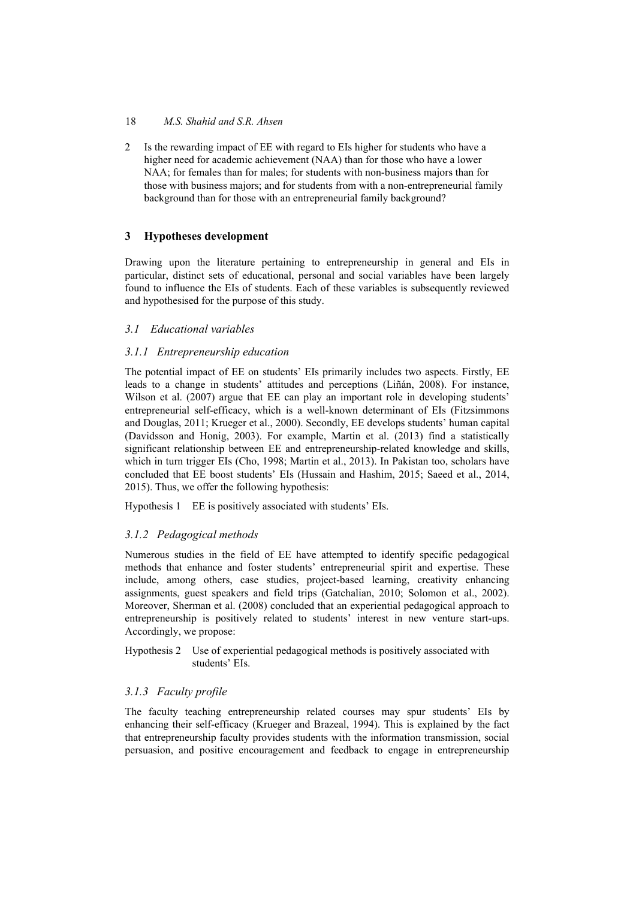2 Is the rewarding impact of EE with regard to EIs higher for students who have a higher need for academic achievement (NAA) than for those who have a lower NAA; for females than for males; for students with non-business majors than for those with business majors; and for students from with a non-entrepreneurial family background than for those with an entrepreneurial family background?

## **3 Hypotheses development**

Drawing upon the literature pertaining to entrepreneurship in general and EIs in particular, distinct sets of educational, personal and social variables have been largely found to influence the EIs of students. Each of these variables is subsequently reviewed and hypothesised for the purpose of this study.

## *3.1 Educational variables*

## *3.1.1 Entrepreneurship education*

The potential impact of EE on students' EIs primarily includes two aspects. Firstly, EE leads to a change in students' attitudes and perceptions (Liñán, 2008). For instance, Wilson et al. (2007) argue that EE can play an important role in developing students' entrepreneurial self-efficacy, which is a well-known determinant of EIs (Fitzsimmons and Douglas, 2011; Krueger et al., 2000). Secondly, EE develops students' human capital (Davidsson and Honig, 2003). For example, Martin et al. (2013) find a statistically significant relationship between EE and entrepreneurship-related knowledge and skills, which in turn trigger EIs (Cho, 1998; Martin et al., 2013). In Pakistan too, scholars have concluded that EE boost students' EIs (Hussain and Hashim, 2015; Saeed et al., 2014, 2015). Thus, we offer the following hypothesis:

Hypothesis 1 EE is positively associated with students' EIs.

## *3.1.2 Pedagogical methods*

Numerous studies in the field of EE have attempted to identify specific pedagogical methods that enhance and foster students' entrepreneurial spirit and expertise. These include, among others, case studies, project-based learning, creativity enhancing assignments, guest speakers and field trips (Gatchalian, 2010; Solomon et al., 2002). Moreover, Sherman et al. (2008) concluded that an experiential pedagogical approach to entrepreneurship is positively related to students' interest in new venture start-ups. Accordingly, we propose:

Hypothesis 2 Use of experiential pedagogical methods is positively associated with students' EIs.

## *3.1.3 Faculty profile*

The faculty teaching entrepreneurship related courses may spur students' EIs by enhancing their self-efficacy (Krueger and Brazeal, 1994). This is explained by the fact that entrepreneurship faculty provides students with the information transmission, social persuasion, and positive encouragement and feedback to engage in entrepreneurship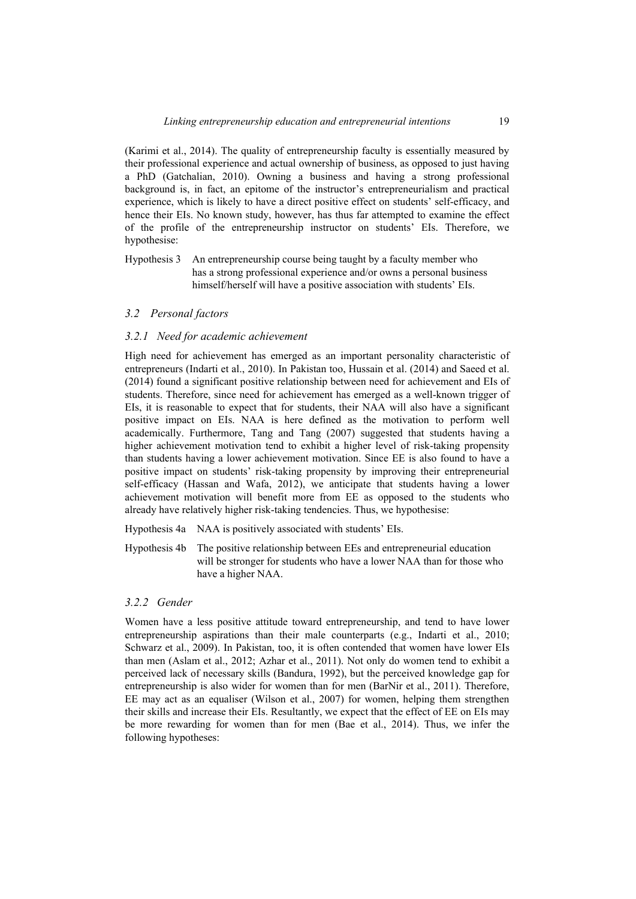(Karimi et al., 2014). The quality of entrepreneurship faculty is essentially measured by their professional experience and actual ownership of business, as opposed to just having a PhD (Gatchalian, 2010). Owning a business and having a strong professional background is, in fact, an epitome of the instructor's entrepreneurialism and practical experience, which is likely to have a direct positive effect on students' self-efficacy, and hence their EIs. No known study, however, has thus far attempted to examine the effect of the profile of the entrepreneurship instructor on students' EIs. Therefore, we hypothesise:

Hypothesis 3 An entrepreneurship course being taught by a faculty member who has a strong professional experience and/or owns a personal business himself/herself will have a positive association with students' EIs.

### *3.2 Personal factors*

#### *3.2.1 Need for academic achievement*

High need for achievement has emerged as an important personality characteristic of entrepreneurs (Indarti et al., 2010). In Pakistan too, Hussain et al. (2014) and Saeed et al. (2014) found a significant positive relationship between need for achievement and EIs of students. Therefore, since need for achievement has emerged as a well-known trigger of EIs, it is reasonable to expect that for students, their NAA will also have a significant positive impact on EIs. NAA is here defined as the motivation to perform well academically. Furthermore, Tang and Tang (2007) suggested that students having a higher achievement motivation tend to exhibit a higher level of risk-taking propensity than students having a lower achievement motivation. Since EE is also found to have a positive impact on students' risk-taking propensity by improving their entrepreneurial self-efficacy (Hassan and Wafa, 2012), we anticipate that students having a lower achievement motivation will benefit more from EE as opposed to the students who already have relatively higher risk-taking tendencies. Thus, we hypothesise:

Hypothesis 4a NAA is positively associated with students' EIs.

Hypothesis 4b The positive relationship between EEs and entrepreneurial education will be stronger for students who have a lower NAA than for those who have a higher NAA.

### *3.2.2 Gender*

Women have a less positive attitude toward entrepreneurship, and tend to have lower entrepreneurship aspirations than their male counterparts (e.g., Indarti et al., 2010; Schwarz et al., 2009). In Pakistan, too, it is often contended that women have lower EIs than men (Aslam et al., 2012; Azhar et al., 2011). Not only do women tend to exhibit a perceived lack of necessary skills (Bandura, 1992), but the perceived knowledge gap for entrepreneurship is also wider for women than for men (BarNir et al., 2011). Therefore, EE may act as an equaliser (Wilson et al., 2007) for women, helping them strengthen their skills and increase their EIs. Resultantly, we expect that the effect of EE on EIs may be more rewarding for women than for men (Bae et al., 2014). Thus, we infer the following hypotheses: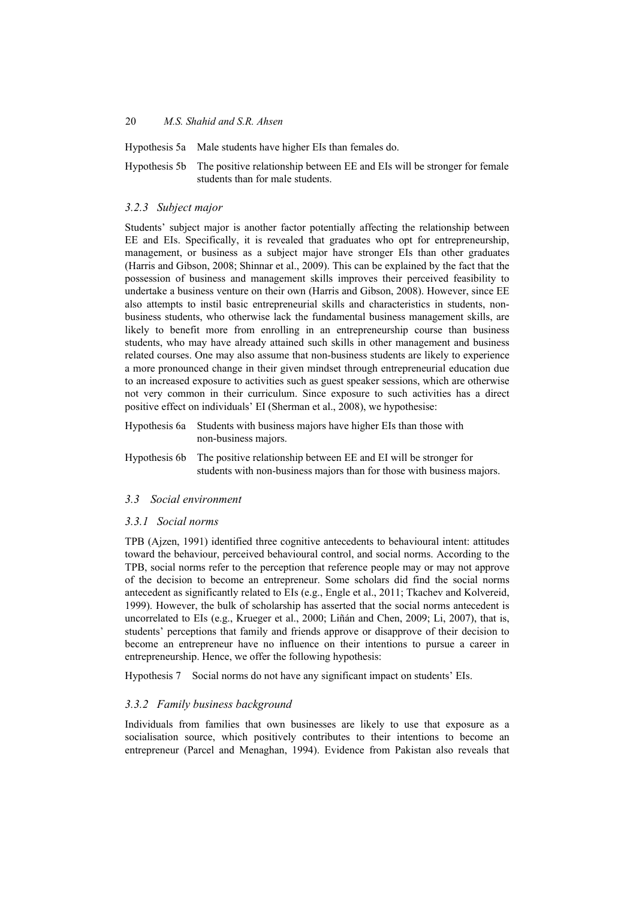Hypothesis 5a Male students have higher EIs than females do.

Hypothesis 5b The positive relationship between EE and EIs will be stronger for female students than for male students.

## *3.2.3 Subject major*

Students' subject major is another factor potentially affecting the relationship between EE and EIs. Specifically, it is revealed that graduates who opt for entrepreneurship, management, or business as a subject major have stronger EIs than other graduates (Harris and Gibson, 2008; Shinnar et al., 2009). This can be explained by the fact that the possession of business and management skills improves their perceived feasibility to undertake a business venture on their own (Harris and Gibson, 2008). However, since EE also attempts to instil basic entrepreneurial skills and characteristics in students, nonbusiness students, who otherwise lack the fundamental business management skills, are likely to benefit more from enrolling in an entrepreneurship course than business students, who may have already attained such skills in other management and business related courses. One may also assume that non-business students are likely to experience a more pronounced change in their given mindset through entrepreneurial education due to an increased exposure to activities such as guest speaker sessions, which are otherwise not very common in their curriculum. Since exposure to such activities has a direct positive effect on individuals' EI (Sherman et al., 2008), we hypothesise:

| Hypothesis 6a Students with business majors have higher EIs than those with |
|-----------------------------------------------------------------------------|
| non-business majors.                                                        |

Hypothesis 6b The positive relationship between EE and EI will be stronger for students with non-business majors than for those with business majors.

## *3.3 Social environment*

## *3.3.1 Social norms*

TPB (Ajzen, 1991) identified three cognitive antecedents to behavioural intent: attitudes toward the behaviour, perceived behavioural control, and social norms. According to the TPB, social norms refer to the perception that reference people may or may not approve of the decision to become an entrepreneur. Some scholars did find the social norms antecedent as significantly related to EIs (e.g., Engle et al., 2011; Tkachev and Kolvereid, 1999). However, the bulk of scholarship has asserted that the social norms antecedent is uncorrelated to EIs (e.g., Krueger et al., 2000; Liñán and Chen, 2009; Li, 2007), that is, students' perceptions that family and friends approve or disapprove of their decision to become an entrepreneur have no influence on their intentions to pursue a career in entrepreneurship. Hence, we offer the following hypothesis:

Hypothesis 7 Social norms do not have any significant impact on students' EIs.

## *3.3.2 Family business background*

Individuals from families that own businesses are likely to use that exposure as a socialisation source, which positively contributes to their intentions to become an entrepreneur (Parcel and Menaghan, 1994). Evidence from Pakistan also reveals that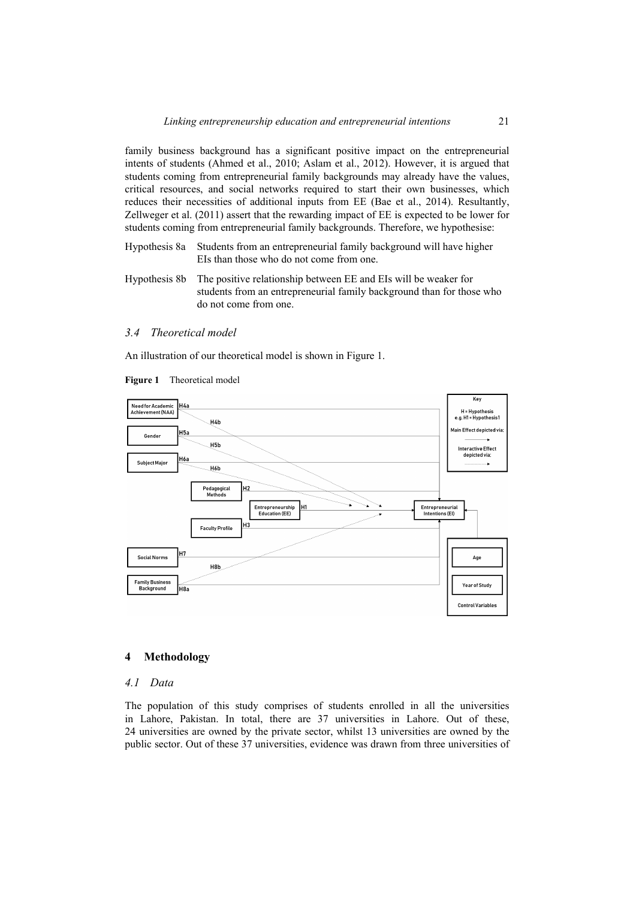family business background has a significant positive impact on the entrepreneurial intents of students (Ahmed et al., 2010; Aslam et al., 2012). However, it is argued that students coming from entrepreneurial family backgrounds may already have the values, critical resources, and social networks required to start their own businesses, which reduces their necessities of additional inputs from EE (Bae et al., 2014). Resultantly, Zellweger et al. (2011) assert that the rewarding impact of EE is expected to be lower for students coming from entrepreneurial family backgrounds. Therefore, we hypothesise:

- Hypothesis 8a Students from an entrepreneurial family background will have higher EIs than those who do not come from one.
- Hypothesis 8b The positive relationship between EE and EIs will be weaker for students from an entrepreneurial family background than for those who do not come from one.

#### *3.4 Theoretical model*

An illustration of our theoretical model is shown in Figure 1.





#### **4 Methodology**

#### *4.1 Data*

The population of this study comprises of students enrolled in all the universities in Lahore, Pakistan. In total, there are 37 universities in Lahore. Out of these, 24 universities are owned by the private sector, whilst 13 universities are owned by the public sector. Out of these 37 universities, evidence was drawn from three universities of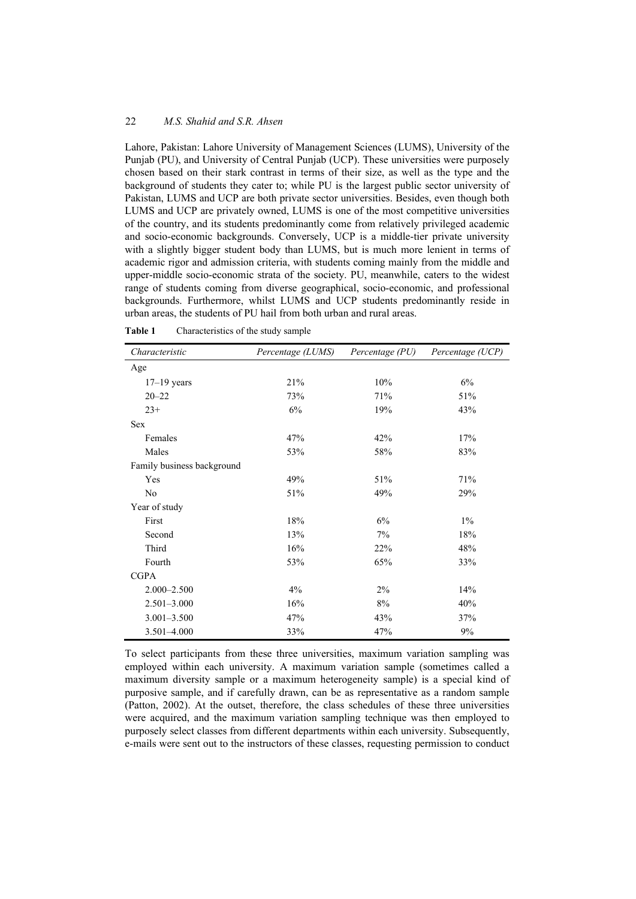Lahore, Pakistan: Lahore University of Management Sciences (LUMS), University of the Punjab (PU), and University of Central Punjab (UCP). These universities were purposely chosen based on their stark contrast in terms of their size, as well as the type and the background of students they cater to; while PU is the largest public sector university of Pakistan, LUMS and UCP are both private sector universities. Besides, even though both LUMS and UCP are privately owned, LUMS is one of the most competitive universities of the country, and its students predominantly come from relatively privileged academic and socio-economic backgrounds. Conversely, UCP is a middle-tier private university with a slightly bigger student body than LUMS, but is much more lenient in terms of academic rigor and admission criteria, with students coming mainly from the middle and upper-middle socio-economic strata of the society. PU, meanwhile, caters to the widest range of students coming from diverse geographical, socio-economic, and professional backgrounds. Furthermore, whilst LUMS and UCP students predominantly reside in urban areas, the students of PU hail from both urban and rural areas.

| Characteristic             | Percentage (LUMS) | Percentage (PU) | Percentage (UCP) |
|----------------------------|-------------------|-----------------|------------------|
| Age                        |                   |                 |                  |
| $17-19$ years              | 21%               | 10%             | 6%               |
| $20 - 22$                  | 73%               | 71%             | 51%              |
| $23+$                      | 6%                | 19%             | 43%              |
| <b>Sex</b>                 |                   |                 |                  |
| Females                    | 47%               | 42%             | 17%              |
| Males                      | 53%               | 58%             | 83%              |
| Family business background |                   |                 |                  |
| Yes                        | 49%               | 51%             | 71%              |
| N <sub>o</sub>             | 51%               | 49%             | 29%              |
| Year of study              |                   |                 |                  |
| First                      | 18%               | 6%              | $1\%$            |
| Second                     | 13%               | 7%              | 18%              |
| Third                      | 16%               | 22%             | 48%              |
| Fourth                     | 53%               | 65%             | 33%              |
| <b>CGPA</b>                |                   |                 |                  |
| $2.000 - 2.500$            | 4%                | 2%              | 14%              |
| $2.501 - 3.000$            | 16%               | 8%              | 40%              |
| $3.001 - 3.500$            | 47%               | 43%             | 37%              |
| $3.501 - 4.000$            | 33%               | 47%             | 9%               |

**Table 1** Characteristics of the study sample

To select participants from these three universities, maximum variation sampling was employed within each university. A maximum variation sample (sometimes called a maximum diversity sample or a maximum heterogeneity sample) is a special kind of purposive sample, and if carefully drawn, can be as representative as a random sample (Patton, 2002). At the outset, therefore, the class schedules of these three universities were acquired, and the maximum variation sampling technique was then employed to purposely select classes from different departments within each university. Subsequently, e-mails were sent out to the instructors of these classes, requesting permission to conduct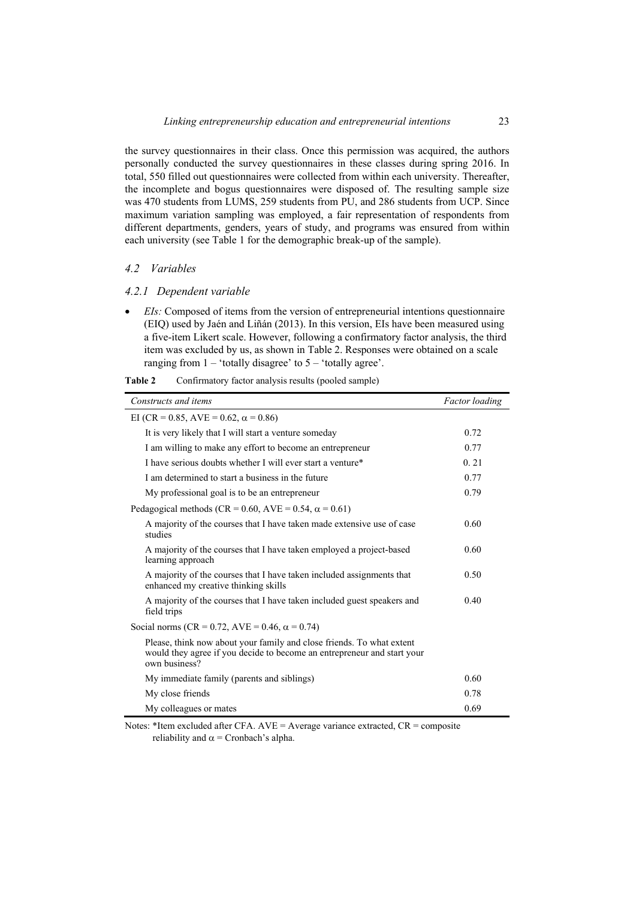the survey questionnaires in their class. Once this permission was acquired, the authors personally conducted the survey questionnaires in these classes during spring 2016. In total, 550 filled out questionnaires were collected from within each university. Thereafter, the incomplete and bogus questionnaires were disposed of. The resulting sample size was 470 students from LUMS, 259 students from PU, and 286 students from UCP. Since maximum variation sampling was employed, a fair representation of respondents from different departments, genders, years of study, and programs was ensured from within each university (see Table 1 for the demographic break-up of the sample).

#### *4.2 Variables*

#### *4.2.1 Dependent variable*

 *EIs:* Composed of items from the version of entrepreneurial intentions questionnaire (EIQ) used by Jaén and Liñán (2013). In this version, EIs have been measured using a five-item Likert scale. However, following a confirmatory factor analysis, the third item was excluded by us, as shown in Table 2. Responses were obtained on a scale ranging from  $1 -$  'totally disagree' to  $5 -$  'totally agree'.

| Constructs and items                                                                                                                                              | <b>Factor</b> loading |  |  |
|-------------------------------------------------------------------------------------------------------------------------------------------------------------------|-----------------------|--|--|
| EI (CR = 0.85, AVE = 0.62, $\alpha$ = 0.86)                                                                                                                       |                       |  |  |
| It is very likely that I will start a venture someday                                                                                                             | 0.72                  |  |  |
| I am willing to make any effort to become an entrepreneur                                                                                                         | 0.77                  |  |  |
| I have serious doubts whether I will ever start a venture*                                                                                                        | 0.21                  |  |  |
| I am determined to start a business in the future                                                                                                                 | 0.77                  |  |  |
| My professional goal is to be an entrepreneur                                                                                                                     | 0.79                  |  |  |
| Pedagogical methods (CR = 0.60, AVE = 0.54, $\alpha$ = 0.61)                                                                                                      |                       |  |  |
| A majority of the courses that I have taken made extensive use of case<br>studies                                                                                 | 0.60                  |  |  |
| A majority of the courses that I have taken employed a project-based<br>learning approach                                                                         | 0.60                  |  |  |
| A majority of the courses that I have taken included assignments that<br>enhanced my creative thinking skills                                                     | 0.50                  |  |  |
| A majority of the courses that I have taken included guest speakers and<br>field trips                                                                            | 0.40                  |  |  |
| Social norms (CR = 0.72, AVE = 0.46, $\alpha$ = 0.74)                                                                                                             |                       |  |  |
| Please, think now about your family and close friends. To what extent<br>would they agree if you decide to become an entrepreneur and start your<br>own business? |                       |  |  |
| My immediate family (parents and siblings)                                                                                                                        | 0.60                  |  |  |
| My close friends                                                                                                                                                  | 0.78                  |  |  |
| My colleagues or mates                                                                                                                                            | 0.69                  |  |  |

| Table 2 | Confirmatory factor analysis results (pooled sample) |  |  |
|---------|------------------------------------------------------|--|--|
|         |                                                      |  |  |

Notes: \*Item excluded after CFA. AVE = Average variance extracted, CR = composite reliability and  $\alpha$  = Cronbach's alpha.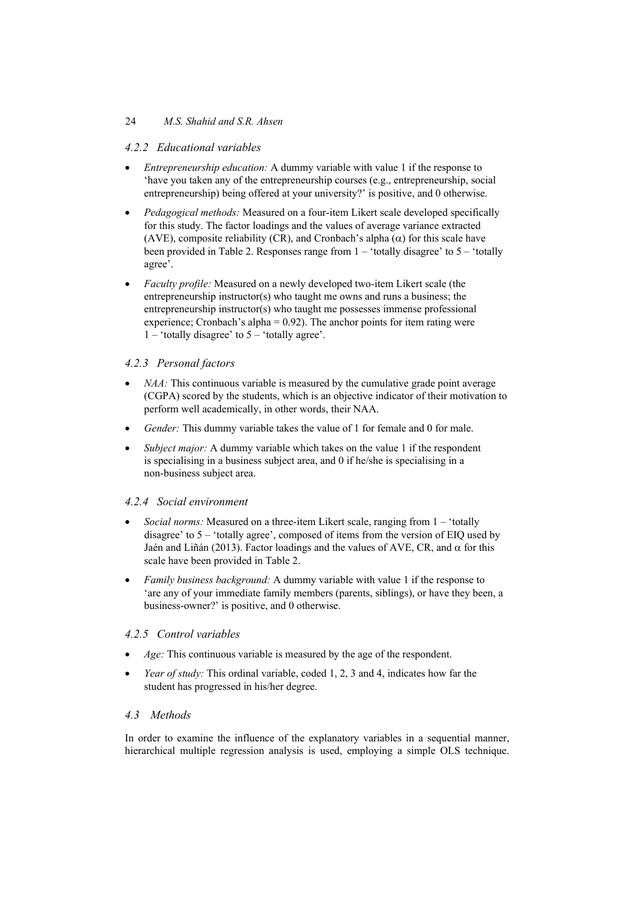## 24 *M.S. Shahid and S.R. Ahsen*

## *4.2.2 Educational variables*

- *Entrepreneurship education:* A dummy variable with value 1 if the response to 'have you taken any of the entrepreneurship courses (e.g., entrepreneurship, social entrepreneurship) being offered at your university?' is positive, and 0 otherwise.
- *Pedagogical methods:* Measured on a four-item Likert scale developed specifically for this study. The factor loadings and the values of average variance extracted (AVE), composite reliability (CR), and Cronbach's alpha  $(\alpha)$  for this scale have been provided in Table 2. Responses range from  $1 -$  'totally disagree' to  $5 -$  'totally agree'.
- *Faculty profile:* Measured on a newly developed two-item Likert scale (the entrepreneurship instructor(s) who taught me owns and runs a business; the entrepreneurship instructor(s) who taught me possesses immense professional experience; Cronbach's alpha =  $0.92$ ). The anchor points for item rating were  $1 -$  'totally disagree' to  $5 -$  'totally agree'.

## *4.2.3 Personal factors*

- *NAA*: This continuous variable is measured by the cumulative grade point average (CGPA) scored by the students, which is an objective indicator of their motivation to perform well academically, in other words, their NAA.
- *Gender:* This dummy variable takes the value of 1 for female and 0 for male.
- *Subject major:* A dummy variable which takes on the value 1 if the respondent is specialising in a business subject area, and 0 if he/she is specialising in a non-business subject area.

## *4.2.4 Social environment*

- *Social norms:* Measured on a three-item Likert scale, ranging from 1 'totally disagree' to 5 – 'totally agree', composed of items from the version of EIQ used by Jaén and Liñán (2013). Factor loadings and the values of AVE, CR, and  $\alpha$  for this scale have been provided in Table 2.
- *Family business background:* A dummy variable with value 1 if the response to 'are any of your immediate family members (parents, siblings), or have they been, a business-owner?' is positive, and 0 otherwise.

## *4.2.5 Control variables*

- *Age:* This continuous variable is measured by the age of the respondent.
- *Year of study:* This ordinal variable, coded 1, 2, 3 and 4, indicates how far the student has progressed in his/her degree.

## *4.3 Methods*

In order to examine the influence of the explanatory variables in a sequential manner, hierarchical multiple regression analysis is used, employing a simple OLS technique.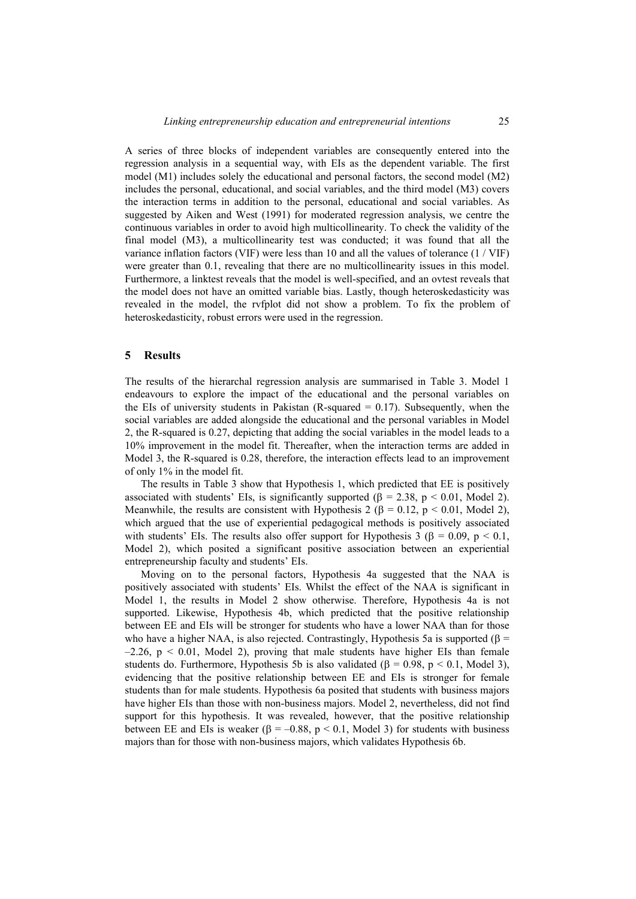A series of three blocks of independent variables are consequently entered into the regression analysis in a sequential way, with EIs as the dependent variable. The first model (M1) includes solely the educational and personal factors, the second model (M2) includes the personal, educational, and social variables, and the third model (M3) covers the interaction terms in addition to the personal, educational and social variables. As suggested by Aiken and West (1991) for moderated regression analysis, we centre the continuous variables in order to avoid high multicollinearity. To check the validity of the final model (M3), a multicollinearity test was conducted; it was found that all the variance inflation factors (VIF) were less than 10 and all the values of tolerance (1 / VIF) were greater than 0.1, revealing that there are no multicollinearity issues in this model. Furthermore, a linktest reveals that the model is well-specified, and an ovtest reveals that the model does not have an omitted variable bias. Lastly, though heteroskedasticity was revealed in the model, the rvfplot did not show a problem. To fix the problem of heteroskedasticity, robust errors were used in the regression.

#### **5 Results**

The results of the hierarchal regression analysis are summarised in Table 3. Model 1 endeavours to explore the impact of the educational and the personal variables on the EIs of university students in Pakistan (R-squared  $= 0.17$ ). Subsequently, when the social variables are added alongside the educational and the personal variables in Model 2, the R-squared is 0.27, depicting that adding the social variables in the model leads to a 10% improvement in the model fit. Thereafter, when the interaction terms are added in Model 3, the R-squared is 0.28, therefore, the interaction effects lead to an improvement of only 1% in the model fit.

The results in Table 3 show that Hypothesis 1, which predicted that EE is positively associated with students' EIs, is significantly supported  $(\beta = 2.38, p \le 0.01,$  Model 2). Meanwhile, the results are consistent with Hypothesis 2 ( $\beta = 0.12$ ,  $p < 0.01$ , Model 2), which argued that the use of experiential pedagogical methods is positively associated with students' EIs. The results also offer support for Hypothesis 3 ( $\beta = 0.09$ ,  $p < 0.1$ , Model 2), which posited a significant positive association between an experiential entrepreneurship faculty and students' EIs.

Moving on to the personal factors, Hypothesis 4a suggested that the NAA is positively associated with students' EIs. Whilst the effect of the NAA is significant in Model 1, the results in Model 2 show otherwise. Therefore, Hypothesis 4a is not supported. Likewise, Hypothesis 4b, which predicted that the positive relationship between EE and EIs will be stronger for students who have a lower NAA than for those who have a higher NAA, is also rejected. Contrastingly, Hypothesis 5a is supported ( $\beta$  =  $-2.26$ , p  $\leq 0.01$ , Model 2), proving that male students have higher EIs than female students do. Furthermore, Hypothesis 5b is also validated ( $\beta = 0.98$ ,  $p < 0.1$ , Model 3), evidencing that the positive relationship between EE and EIs is stronger for female students than for male students. Hypothesis 6a posited that students with business majors have higher EIs than those with non-business majors. Model 2, nevertheless, did not find support for this hypothesis. It was revealed, however, that the positive relationship between EE and EIs is weaker ( $\beta = -0.88$ ,  $p < 0.1$ , Model 3) for students with business majors than for those with non-business majors, which validates Hypothesis 6b.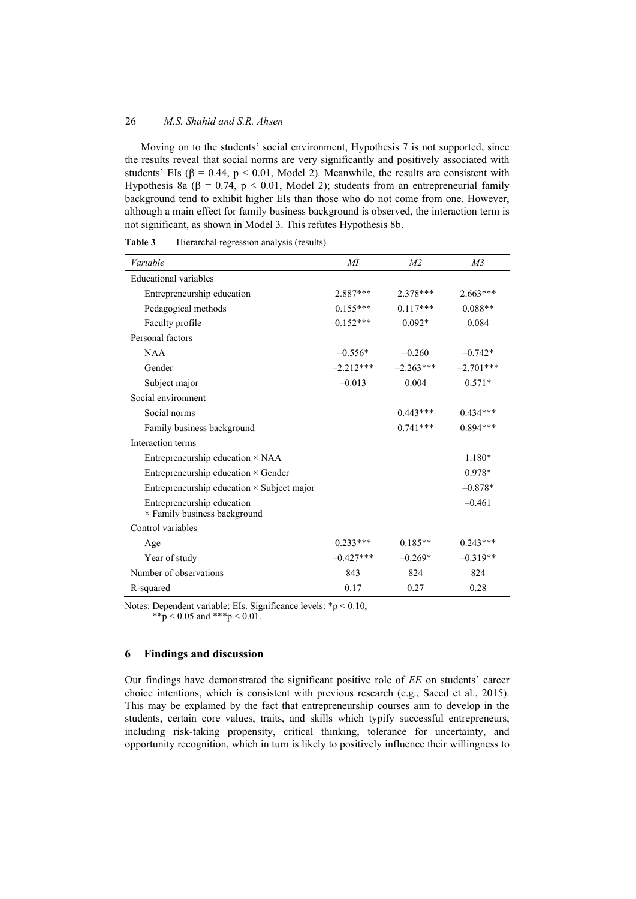#### 26 *M.S. Shahid and S.R. Ahsen*

Moving on to the students' social environment, Hypothesis 7 is not supported, since the results reveal that social norms are very significantly and positively associated with students' EIs ( $\beta = 0.44$ ,  $p < 0.01$ , Model 2). Meanwhile, the results are consistent with Hypothesis 8a ( $\beta$  = 0.74, p < 0.01, Model 2); students from an entrepreneurial family background tend to exhibit higher EIs than those who do not come from one. However, although a main effect for family business background is observed, the interaction term is not significant, as shown in Model 3. This refutes Hypothesis 8b.

| Variable                                                   | МI          | M <sub>2</sub> | M <sub>3</sub> |
|------------------------------------------------------------|-------------|----------------|----------------|
| Educational variables                                      |             |                |                |
| Entrepreneurship education                                 | $2.887***$  | 2.378***       | $2.663***$     |
| Pedagogical methods                                        | $0.155***$  | $0.117***$     | $0.088**$      |
| Faculty profile                                            | $0.152***$  | $0.092*$       | 0.084          |
| Personal factors                                           |             |                |                |
| <b>NAA</b>                                                 | $-0.556*$   | $-0.260$       | $-0.742*$      |
| Gender                                                     | $-2.212***$ | $-2.263***$    | $-2.701***$    |
| Subject major                                              | $-0.013$    | 0.004          | $0.571*$       |
| Social environment                                         |             |                |                |
| Social norms                                               |             | $0.443***$     | $0.434***$     |
| Family business background                                 |             | $0.741***$     | $0.894***$     |
| Interaction terms                                          |             |                |                |
| Entrepreneurship education $\times$ NAA                    |             |                | 1.180*         |
| Entrepreneurship education $\times$ Gender                 |             |                | $0.978*$       |
| Entrepreneurship education $\times$ Subject major          |             |                | $-0.878*$      |
| Entrepreneurship education<br>× Family business background |             |                | $-0.461$       |
| Control variables                                          |             |                |                |
| Age                                                        | $0.233***$  | $0.185**$      | $0.243***$     |
| Year of study                                              | $-0.427***$ | $-0.269*$      | $-0.319**$     |
| Number of observations                                     | 843         | 824            | 824            |
| R-squared                                                  | 0.17        | 0.27           | 0.28           |

**Table 3** Hierarchal regression analysis (results)

Notes: Dependent variable: EIs. Significance levels: \*p < 0.10, \*\*p < 0.05 and \*\*\*p < 0.01.

### **6 Findings and discussion**

Our findings have demonstrated the significant positive role of *EE* on students' career choice intentions, which is consistent with previous research (e.g., Saeed et al., 2015). This may be explained by the fact that entrepreneurship courses aim to develop in the students, certain core values, traits, and skills which typify successful entrepreneurs, including risk-taking propensity, critical thinking, tolerance for uncertainty, and opportunity recognition, which in turn is likely to positively influence their willingness to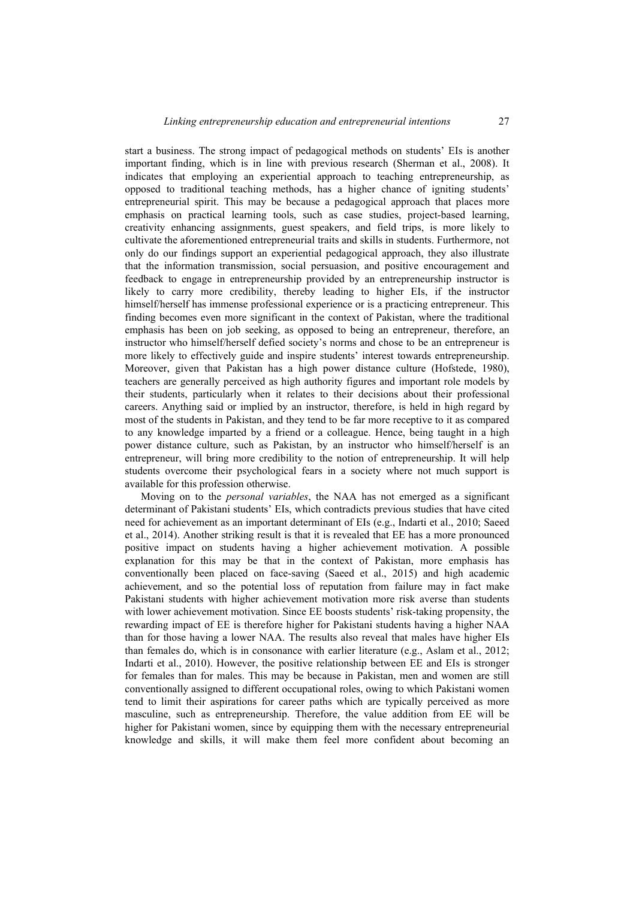start a business. The strong impact of pedagogical methods on students' EIs is another important finding, which is in line with previous research (Sherman et al., 2008). It indicates that employing an experiential approach to teaching entrepreneurship, as opposed to traditional teaching methods, has a higher chance of igniting students' entrepreneurial spirit. This may be because a pedagogical approach that places more emphasis on practical learning tools, such as case studies, project-based learning, creativity enhancing assignments, guest speakers, and field trips, is more likely to cultivate the aforementioned entrepreneurial traits and skills in students. Furthermore, not only do our findings support an experiential pedagogical approach, they also illustrate that the information transmission, social persuasion, and positive encouragement and feedback to engage in entrepreneurship provided by an entrepreneurship instructor is likely to carry more credibility, thereby leading to higher EIs, if the instructor himself/herself has immense professional experience or is a practicing entrepreneur. This finding becomes even more significant in the context of Pakistan, where the traditional emphasis has been on job seeking, as opposed to being an entrepreneur, therefore, an instructor who himself/herself defied society's norms and chose to be an entrepreneur is more likely to effectively guide and inspire students' interest towards entrepreneurship. Moreover, given that Pakistan has a high power distance culture (Hofstede, 1980), teachers are generally perceived as high authority figures and important role models by their students, particularly when it relates to their decisions about their professional careers. Anything said or implied by an instructor, therefore, is held in high regard by most of the students in Pakistan, and they tend to be far more receptive to it as compared to any knowledge imparted by a friend or a colleague. Hence, being taught in a high power distance culture, such as Pakistan, by an instructor who himself/herself is an entrepreneur, will bring more credibility to the notion of entrepreneurship. It will help students overcome their psychological fears in a society where not much support is available for this profession otherwise.

Moving on to the *personal variables*, the NAA has not emerged as a significant determinant of Pakistani students' EIs, which contradicts previous studies that have cited need for achievement as an important determinant of EIs (e.g., Indarti et al., 2010; Saeed et al., 2014). Another striking result is that it is revealed that EE has a more pronounced positive impact on students having a higher achievement motivation. A possible explanation for this may be that in the context of Pakistan, more emphasis has conventionally been placed on face-saving (Saeed et al., 2015) and high academic achievement, and so the potential loss of reputation from failure may in fact make Pakistani students with higher achievement motivation more risk averse than students with lower achievement motivation. Since EE boosts students' risk-taking propensity, the rewarding impact of EE is therefore higher for Pakistani students having a higher NAA than for those having a lower NAA. The results also reveal that males have higher EIs than females do, which is in consonance with earlier literature (e.g., Aslam et al., 2012; Indarti et al., 2010). However, the positive relationship between EE and EIs is stronger for females than for males. This may be because in Pakistan, men and women are still conventionally assigned to different occupational roles, owing to which Pakistani women tend to limit their aspirations for career paths which are typically perceived as more masculine, such as entrepreneurship. Therefore, the value addition from EE will be higher for Pakistani women, since by equipping them with the necessary entrepreneurial knowledge and skills, it will make them feel more confident about becoming an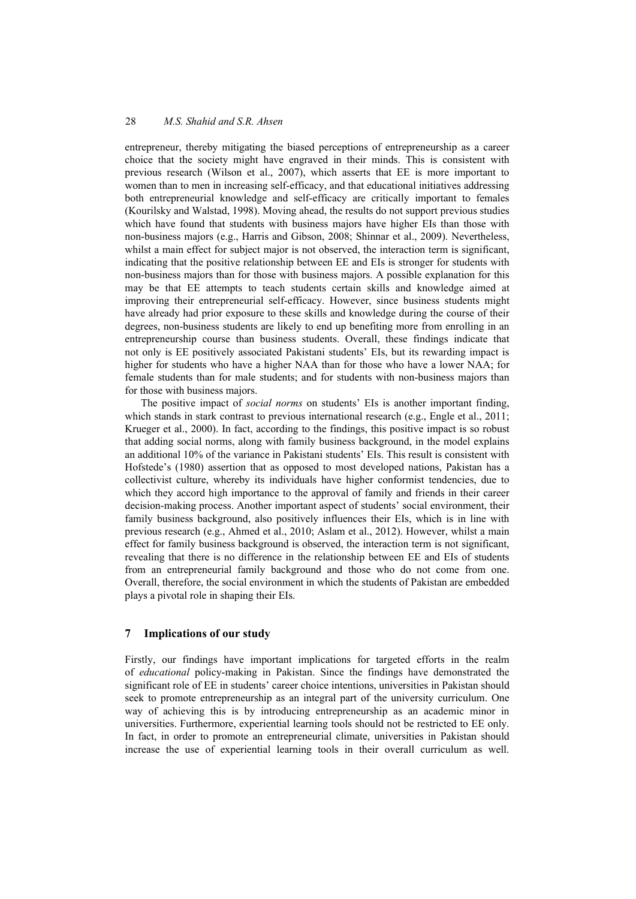entrepreneur, thereby mitigating the biased perceptions of entrepreneurship as a career choice that the society might have engraved in their minds. This is consistent with previous research (Wilson et al., 2007), which asserts that EE is more important to women than to men in increasing self-efficacy, and that educational initiatives addressing both entrepreneurial knowledge and self-efficacy are critically important to females (Kourilsky and Walstad, 1998). Moving ahead, the results do not support previous studies which have found that students with business majors have higher EIs than those with non-business majors (e.g., Harris and Gibson, 2008; Shinnar et al., 2009). Nevertheless, whilst a main effect for subject major is not observed, the interaction term is significant, indicating that the positive relationship between EE and EIs is stronger for students with non-business majors than for those with business majors. A possible explanation for this may be that EE attempts to teach students certain skills and knowledge aimed at improving their entrepreneurial self-efficacy. However, since business students might have already had prior exposure to these skills and knowledge during the course of their degrees, non-business students are likely to end up benefiting more from enrolling in an entrepreneurship course than business students. Overall, these findings indicate that not only is EE positively associated Pakistani students' EIs, but its rewarding impact is higher for students who have a higher NAA than for those who have a lower NAA; for female students than for male students; and for students with non-business majors than for those with business majors.

The positive impact of *social norms* on students' EIs is another important finding, which stands in stark contrast to previous international research (e.g., Engle et al., 2011; Krueger et al., 2000). In fact, according to the findings, this positive impact is so robust that adding social norms, along with family business background, in the model explains an additional 10% of the variance in Pakistani students' EIs. This result is consistent with Hofstede's (1980) assertion that as opposed to most developed nations, Pakistan has a collectivist culture, whereby its individuals have higher conformist tendencies, due to which they accord high importance to the approval of family and friends in their career decision-making process. Another important aspect of students' social environment, their family business background, also positively influences their EIs, which is in line with previous research (e.g., Ahmed et al., 2010; Aslam et al., 2012). However, whilst a main effect for family business background is observed, the interaction term is not significant, revealing that there is no difference in the relationship between EE and EIs of students from an entrepreneurial family background and those who do not come from one. Overall, therefore, the social environment in which the students of Pakistan are embedded plays a pivotal role in shaping their EIs.

#### **7 Implications of our study**

Firstly, our findings have important implications for targeted efforts in the realm of *educational* policy-making in Pakistan. Since the findings have demonstrated the significant role of EE in students' career choice intentions, universities in Pakistan should seek to promote entrepreneurship as an integral part of the university curriculum. One way of achieving this is by introducing entrepreneurship as an academic minor in universities. Furthermore, experiential learning tools should not be restricted to EE only. In fact, in order to promote an entrepreneurial climate, universities in Pakistan should increase the use of experiential learning tools in their overall curriculum as well.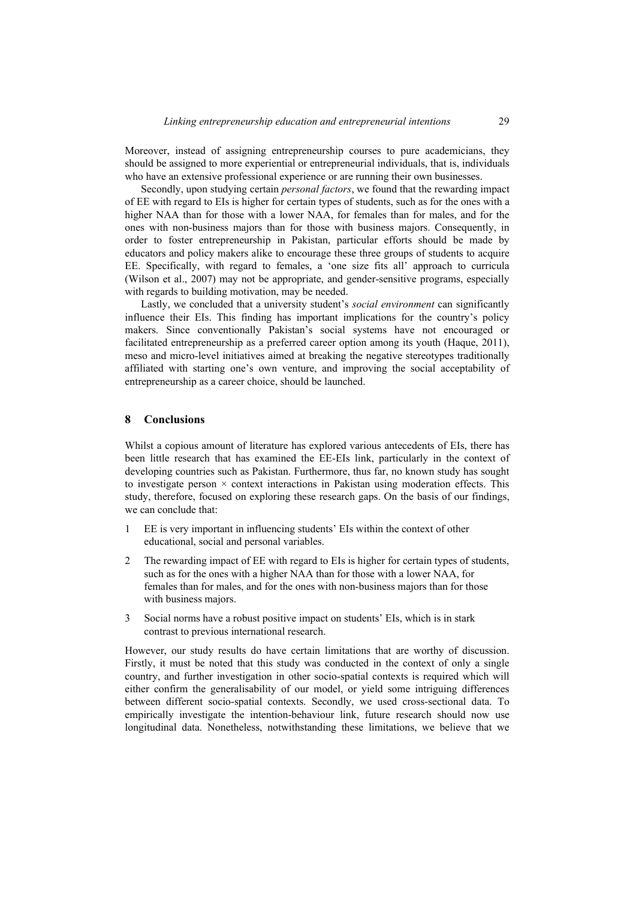Moreover, instead of assigning entrepreneurship courses to pure academicians, they should be assigned to more experiential or entrepreneurial individuals, that is, individuals who have an extensive professional experience or are running their own businesses.

Secondly, upon studying certain *personal factors*, we found that the rewarding impact of EE with regard to EIs is higher for certain types of students, such as for the ones with a higher NAA than for those with a lower NAA, for females than for males, and for the ones with non-business majors than for those with business majors. Consequently, in order to foster entrepreneurship in Pakistan, particular efforts should be made by educators and policy makers alike to encourage these three groups of students to acquire EE. Specifically, with regard to females, a 'one size fits all' approach to curricula (Wilson et al., 2007) may not be appropriate, and gender-sensitive programs, especially with regards to building motivation, may be needed.

Lastly, we concluded that a university student's *social environment* can significantly influence their EIs. This finding has important implications for the country's policy makers. Since conventionally Pakistan's social systems have not encouraged or facilitated entrepreneurship as a preferred career option among its youth (Haque, 2011), meso and micro-level initiatives aimed at breaking the negative stereotypes traditionally affiliated with starting one's own venture, and improving the social acceptability of entrepreneurship as a career choice, should be launched.

#### **8 Conclusions**

Whilst a copious amount of literature has explored various antecedents of EIs, there has been little research that has examined the EE-EIs link, particularly in the context of developing countries such as Pakistan. Furthermore, thus far, no known study has sought to investigate person  $\times$  context interactions in Pakistan using moderation effects. This study, therefore, focused on exploring these research gaps. On the basis of our findings, we can conclude that:

- 1 EE is very important in influencing students' EIs within the context of other educational, social and personal variables.
- 2 The rewarding impact of EE with regard to EIs is higher for certain types of students, such as for the ones with a higher NAA than for those with a lower NAA, for females than for males, and for the ones with non-business majors than for those with business majors.
- 3 Social norms have a robust positive impact on students' EIs, which is in stark contrast to previous international research.

However, our study results do have certain limitations that are worthy of discussion. Firstly, it must be noted that this study was conducted in the context of only a single country, and further investigation in other socio-spatial contexts is required which will either confirm the generalisability of our model, or yield some intriguing differences between different socio-spatial contexts. Secondly, we used cross-sectional data. To empirically investigate the intention-behaviour link, future research should now use longitudinal data. Nonetheless, notwithstanding these limitations, we believe that we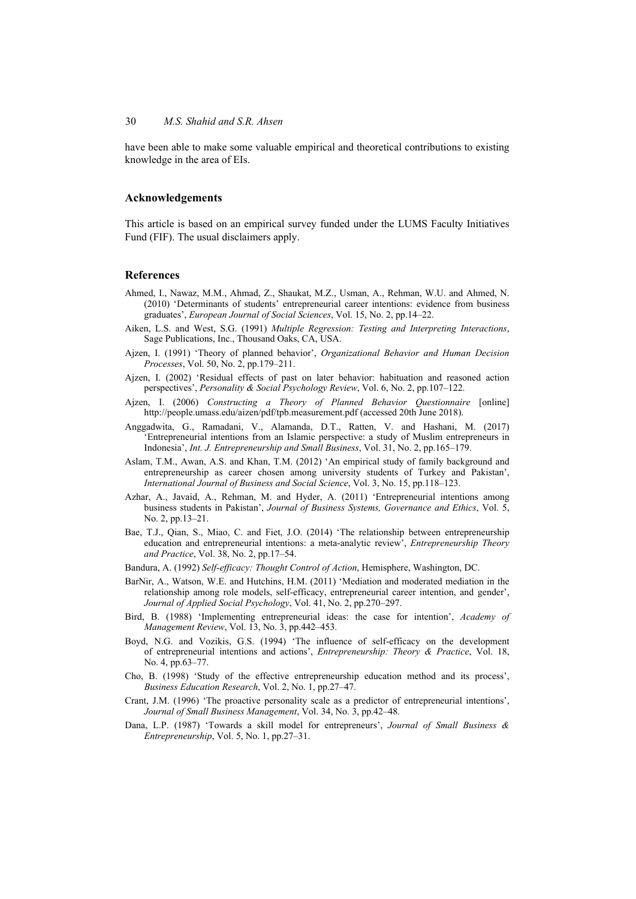have been able to make some valuable empirical and theoretical contributions to existing knowledge in the area of EIs.

#### **Acknowledgements**

This article is based on an empirical survey funded under the LUMS Faculty Initiatives Fund (FIF). The usual disclaimers apply.

#### **References**

- Ahmed, I., Nawaz, M.M., Ahmad, Z., Shaukat, M.Z., Usman, A., Rehman, W.U. and Ahmed, N. (2010) 'Determinants of students' entrepreneurial career intentions: evidence from business graduates', *European Journal of Social Sciences*, Vol. 15, No. 2, pp.14–22.
- Aiken, L.S. and West, S.G. (1991) *Multiple Regression: Testing and Interpreting Interactions*, Sage Publications, Inc., Thousand Oaks, CA, USA.
- Ajzen, I. (1991) 'Theory of planned behavior', *Organizational Behavior and Human Decision Processes*, Vol. 50, No. 2, pp.179–211.
- Ajzen, I. (2002) 'Residual effects of past on later behavior: habituation and reasoned action perspectives', *Personality & Social Psychology Review*, Vol. 6, No. 2, pp.107–122.
- Ajzen, I. (2006) *Constructing a Theory of Planned Behavior Questionnaire* [online] http://people.umass.edu/aizen/pdf/tpb.measurement.pdf (accessed 20th June 2018).
- Anggadwita, G., Ramadani, V., Alamanda, D.T., Ratten, V. and Hashani, M. (2017) 'Entrepreneurial intentions from an Islamic perspective: a study of Muslim entrepreneurs in Indonesia', *Int. J. Entrepreneurship and Small Business*, Vol. 31, No. 2, pp.165–179.
- Aslam, T.M., Awan, A.S. and Khan, T.M. (2012) 'An empirical study of family background and entrepreneurship as career chosen among university students of Turkey and Pakistan', *International Journal of Business and Social Science*, Vol. 3, No. 15, pp.118–123.
- Azhar, A., Javaid, A., Rehman, M. and Hyder, A. (2011) 'Entrepreneurial intentions among business students in Pakistan', *Journal of Business Systems, Governance and Ethics*, Vol. 5, No. 2, pp.13–21.
- Bae, T.J., Qian, S., Miao, C. and Fiet, J.O. (2014) 'The relationship between entrepreneurship education and entrepreneurial intentions: a meta-analytic review', *Entrepreneurship Theory and Practice*, Vol. 38, No. 2, pp.17–54.
- Bandura, A. (1992) *Self-efficacy: Thought Control of Action*, Hemisphere, Washington, DC.
- BarNir, A., Watson, W.E. and Hutchins, H.M. (2011) 'Mediation and moderated mediation in the relationship among role models, self-efficacy, entrepreneurial career intention, and gender', *Journal of Applied Social Psychology*, Vol. 41, No. 2, pp.270–297.
- Bird, B. (1988) 'Implementing entrepreneurial ideas: the case for intention', *Academy of Management Review*, Vol. 13, No. 3, pp.442–453.
- Boyd, N.G. and Vozikis, G.S. (1994) 'The influence of self-efficacy on the development of entrepreneurial intentions and actions', *Entrepreneurship: Theory & Practice*, Vol. 18, No. 4, pp.63–77.
- Cho, B. (1998) 'Study of the effective entrepreneurship education method and its process', *Business Education Research*, Vol. 2, No. 1, pp.27–47.
- Crant, J.M. (1996) 'The proactive personality scale as a predictor of entrepreneurial intentions', *Journal of Small Business Management*, Vol. 34, No. 3, pp.42–48.
- Dana, L.P. (1987) 'Towards a skill model for entrepreneurs', *Journal of Small Business & Entrepreneurship*, Vol. 5, No. 1, pp.27–31.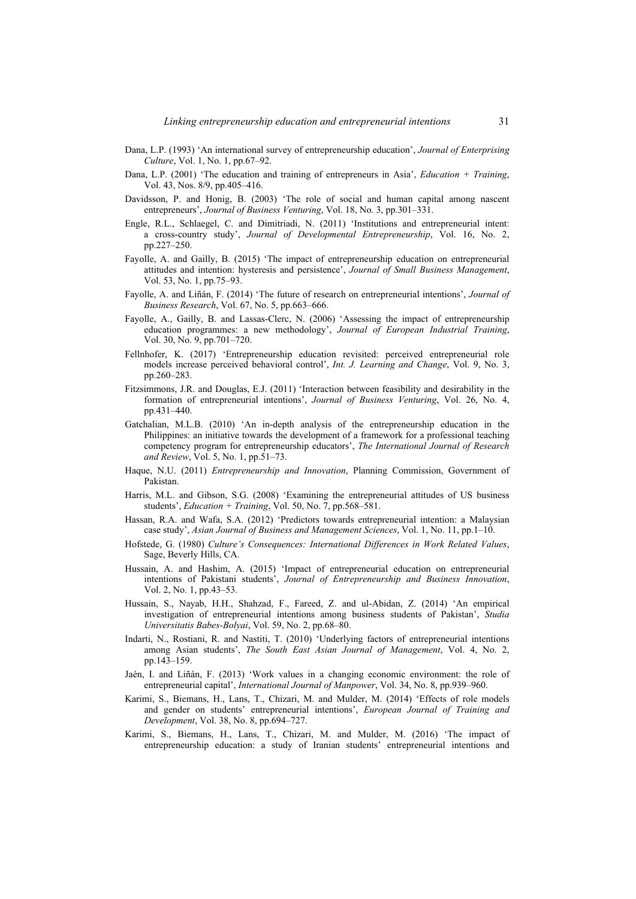- Dana, L.P. (1993) 'An international survey of entrepreneurship education', *Journal of Enterprising Culture*, Vol. 1, No. 1, pp.67–92.
- Dana, L.P. (2001) 'The education and training of entrepreneurs in Asia', *Education + Training*, Vol. 43, Nos. 8/9, pp.405–416.
- Davidsson, P. and Honig, B. (2003) 'The role of social and human capital among nascent entrepreneurs', *Journal of Business Venturing*, Vol. 18, No. 3, pp.301–331.
- Engle, R.L., Schlaegel, C. and Dimitriadi, N. (2011) 'Institutions and entrepreneurial intent: a cross-country study', *Journal of Developmental Entrepreneurship*, Vol. 16, No. 2, pp.227–250.
- Fayolle, A. and Gailly, B. (2015) 'The impact of entrepreneurship education on entrepreneurial attitudes and intention: hysteresis and persistence', *Journal of Small Business Management*, Vol. 53, No. 1, pp.75–93.
- Fayolle, A. and Liñán, F. (2014) 'The future of research on entrepreneurial intentions', *Journal of Business Research*, Vol. 67, No. 5, pp.663–666.
- Fayolle, A., Gailly, B. and Lassas-Clerc, N. (2006) 'Assessing the impact of entrepreneurship education programmes: a new methodology', *Journal of European Industrial Training*, Vol. 30, No. 9, pp.701–720.
- Fellnhofer, K. (2017) 'Entrepreneurship education revisited: perceived entrepreneurial role models increase perceived behavioral control', *Int. J. Learning and Change*, Vol. 9, No. 3, pp.260–283.
- Fitzsimmons, J.R. and Douglas, E.J. (2011) 'Interaction between feasibility and desirability in the formation of entrepreneurial intentions', *Journal of Business Venturing*, Vol. 26, No. 4, pp.431–440.
- Gatchalian, M.L.B. (2010) 'An in-depth analysis of the entrepreneurship education in the Philippines: an initiative towards the development of a framework for a professional teaching competency program for entrepreneurship educators', *The International Journal of Research and Review*, Vol. 5, No. 1, pp.51–73.
- Haque, N.U. (2011) *Entrepreneurship and Innovation*, Planning Commission, Government of Pakistan.
- Harris, M.L. and Gibson, S.G. (2008) 'Examining the entrepreneurial attitudes of US business students', *Education + Training*, Vol. 50, No. 7, pp.568–581.
- Hassan, R.A. and Wafa, S.A. (2012) 'Predictors towards entrepreneurial intention: a Malaysian case study', *Asian Journal of Business and Management Sciences*, Vol. 1, No. 11, pp.1–10.
- Hofstede, G. (1980) *Culture's Consequences: International Differences in Work Related Values*, Sage, Beverly Hills, CA.
- Hussain, A. and Hashim, A. (2015) 'Impact of entrepreneurial education on entrepreneurial intentions of Pakistani students', *Journal of Entrepreneurship and Business Innovation*, Vol. 2, No. 1, pp.43–53.
- Hussain, S., Nayab, H.H., Shahzad, F., Fareed, Z. and ul-Abidan, Z. (2014) 'An empirical investigation of entrepreneurial intentions among business students of Pakistan', *Studia Universitatis Babes-Bolyai*, Vol. 59, No. 2, pp.68–80.
- Indarti, N., Rostiani, R. and Nastiti, T. (2010) 'Underlying factors of entrepreneurial intentions among Asian students', *The South East Asian Journal of Management*, Vol. 4, No. 2, pp.143–159.
- Jaén, I. and Liñán, F. (2013) 'Work values in a changing economic environment: the role of entrepreneurial capital', *International Journal of Manpower*, Vol. 34, No. 8, pp.939–960.
- Karimi, S., Biemans, H., Lans, T., Chizari, M. and Mulder, M. (2014) 'Effects of role models and gender on students' entrepreneurial intentions', *European Journal of Training and Development*, Vol. 38, No. 8, pp.694–727.
- Karimi, S., Biemans, H., Lans, T., Chizari, M. and Mulder, M. (2016) 'The impact of entrepreneurship education: a study of Iranian students' entrepreneurial intentions and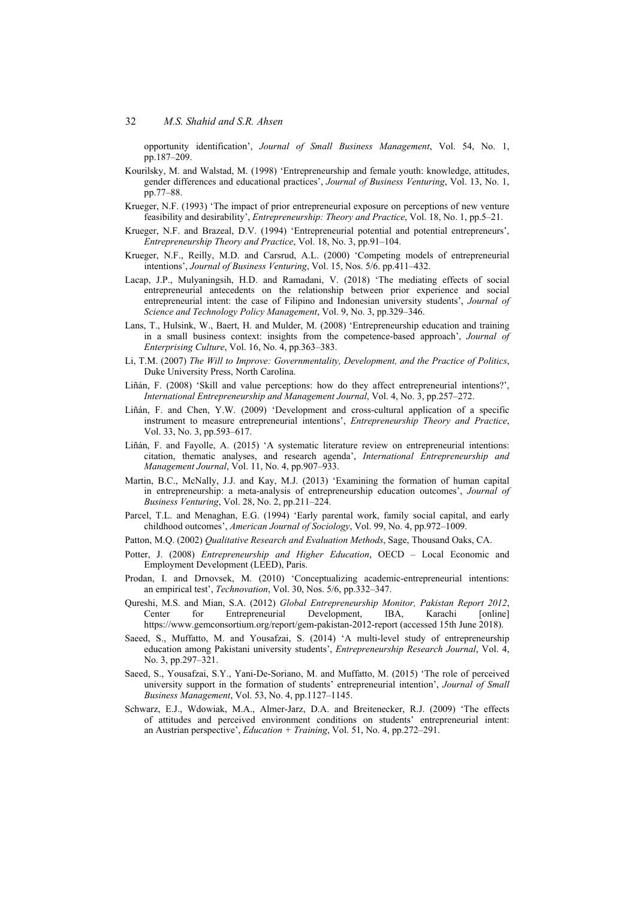opportunity identification', *Journal of Small Business Management*, Vol. 54, No. 1, pp.187–209.

- Kourilsky, M. and Walstad, M. (1998) 'Entrepreneurship and female youth: knowledge, attitudes, gender differences and educational practices', *Journal of Business Venturing*, Vol. 13, No. 1, pp.77–88.
- Krueger, N.F. (1993) 'The impact of prior entrepreneurial exposure on perceptions of new venture feasibility and desirability', *Entrepreneurship: Theory and Practice*, Vol. 18, No. 1, pp.5–21.
- Krueger, N.F. and Brazeal, D.V. (1994) 'Entrepreneurial potential and potential entrepreneurs', *Entrepreneurship Theory and Practice*, Vol. 18, No. 3, pp.91–104.
- Krueger, N.F., Reilly, M.D. and Carsrud, A.L. (2000) 'Competing models of entrepreneurial intentions', *Journal of Business Venturing*, Vol. 15, Nos. 5/6. pp.411–432.
- Lacap, J.P., Mulyaningsih, H.D. and Ramadani, V. (2018) 'The mediating effects of social entrepreneurial antecedents on the relationship between prior experience and social entrepreneurial intent: the case of Filipino and Indonesian university students', *Journal of Science and Technology Policy Management*, Vol. 9, No. 3, pp.329–346.
- Lans, T., Hulsink, W., Baert, H. and Mulder, M. (2008) 'Entrepreneurship education and training in a small business context: insights from the competence-based approach', *Journal of Enterprising Culture*, Vol. 16, No. 4, pp.363–383.
- Li, T.M. (2007) *The Will to Improve: Governmentality, Development, and the Practice of Politics*, Duke University Press, North Carolina.
- Liñán, F. (2008) 'Skill and value perceptions: how do they affect entrepreneurial intentions?', *International Entrepreneurship and Management Journal*, Vol. 4, No. 3, pp.257–272.
- Liñán, F. and Chen, Y.W. (2009) 'Development and cross-cultural application of a specific instrument to measure entrepreneurial intentions', *Entrepreneurship Theory and Practice*, Vol. 33, No. 3, pp.593–617.
- Liñán, F. and Fayolle, A. (2015) 'A systematic literature review on entrepreneurial intentions: citation, thematic analyses, and research agenda', *International Entrepreneurship and Management Journal*, Vol. 11, No. 4, pp.907–933.
- Martin, B.C., McNally, J.J. and Kay, M.J. (2013) 'Examining the formation of human capital in entrepreneurship: a meta-analysis of entrepreneurship education outcomes', *Journal of Business Venturing*, Vol. 28, No. 2, pp.211–224.
- Parcel, T.L. and Menaghan, E.G. (1994) 'Early parental work, family social capital, and early childhood outcomes', *American Journal of Sociology*, Vol. 99, No. 4, pp.972–1009.
- Patton, M.Q. (2002) *Qualitative Research and Evaluation Methods*, Sage, Thousand Oaks, CA.
- Potter, J. (2008) *Entrepreneurship and Higher Education*, OECD Local Economic and Employment Development (LEED), Paris.
- Prodan, I. and Drnovsek, M. (2010) 'Conceptualizing academic-entrepreneurial intentions: an empirical test', *Technovation*, Vol. 30, Nos. 5/6, pp.332–347.
- Qureshi, M.S. and Mian, S.A. (2012) *Global Entrepreneurship Monitor, Pakistan Report 2012*, Center for Entrepreneurial Development, IBA, Karachi [online] https://www.gemconsortium.org/report/gem-pakistan-2012-report (accessed 15th June 2018).
- Saeed, S., Muffatto, M. and Yousafzai, S. (2014) 'A multi-level study of entrepreneurship education among Pakistani university students', *Entrepreneurship Research Journal*, Vol. 4, No. 3, pp.297–321.
- Saeed, S., Yousafzai, S.Y., Yani-De-Soriano, M. and Muffatto, M. (2015) 'The role of perceived university support in the formation of students' entrepreneurial intention', *Journal of Small Business Management*, Vol. 53, No. 4, pp.1127–1145.
- Schwarz, E.J., Wdowiak, M.A., Almer-Jarz, D.A. and Breitenecker, R.J. (2009) 'The effects of attitudes and perceived environment conditions on students' entrepreneurial intent: an Austrian perspective', *Education + Training*, Vol. 51, No. 4, pp.272–291.